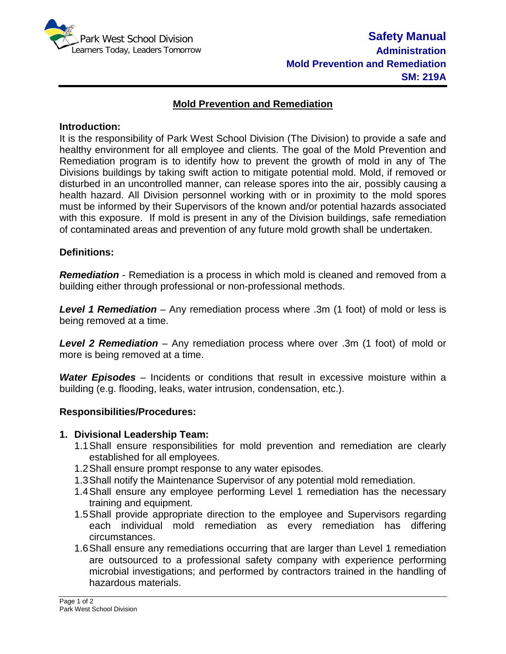

## **Mold Prevention and Remediation**

#### **Introduction:**

It is the responsibility of Park West School Division (The Division) to provide a safe and healthy environment for all employee and clients. The goal of the Mold Prevention and Remediation program is to identify how to prevent the growth of mold in any of The Divisions buildings by taking swift action to mitigate potential mold. Mold, if removed or disturbed in an uncontrolled manner, can release spores into the air, possibly causing a health hazard. All Division personnel working with or in proximity to the mold spores must be informed by their Supervisors of the known and/or potential hazards associated with this exposure. If mold is present in any of the Division buildings, safe remediation of contaminated areas and prevention of any future mold growth shall be undertaken.

### **Definitions:**

*Remediation* - Remediation is a process in which mold is cleaned and removed from a building either through professional or non-professional methods.

*Level 1 Remediation* – Any remediation process where .3m (1 foot) of mold or less is being removed at a time.

*Level 2 Remediation* – Any remediation process where over .3m (1 foot) of mold or more is being removed at a time.

*Water Episodes* – Incidents or conditions that result in excessive moisture within a building (e.g. flooding, leaks, water intrusion, condensation, etc.).

#### **Responsibilities/Procedures:**

#### **1. Divisional Leadership Team:**

- 1.1Shall ensure responsibilities for mold prevention and remediation are clearly established for all employees.
- 1.2Shall ensure prompt response to any water episodes.
- 1.3Shall notify the Maintenance Supervisor of any potential mold remediation.
- 1.4Shall ensure any employee performing Level 1 remediation has the necessary training and equipment.
- 1.5Shall provide appropriate direction to the employee and Supervisors regarding each individual mold remediation as every remediation has differing circumstances.
- 1.6Shall ensure any remediations occurring that are larger than Level 1 remediation are outsourced to a professional safety company with experience performing microbial investigations; and performed by contractors trained in the handling of hazardous materials.